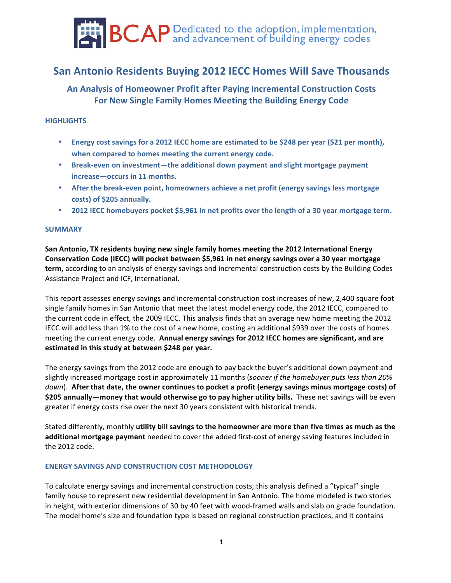

# **San Antonio Residents Buying 2012 IECC Homes Will Save Thousands**

# **An Analysis of Homeowner Profit after Paying Incremental Construction Costs** For New Single Family Homes Meeting the Building Energy Code

# **HIGHLIGHTS**

- **Energy cost savings for a 2012 IECC home are estimated to be \$248 per year (\$21 per month),** when compared to homes meeting the current energy code.
- Break-even on investment—the additional down payment and slight mortgage payment  $increases$  - occurs in 11 months.
- After the break-even point, homeowners achieve a net profit (energy savings less mortgage costs) of \$205 annually.
- **2012 IECC homebuyers pocket \$5,961 in net profits over the length of a 30 year mortgage term.**

# **SUMMARY**

San Antonio, TX residents buying new single family homes meeting the 2012 International Energy Conservation Code (IECC) will pocket between \$5,961 in net energy savings over a 30 year mortgage **term,** according to an analysis of energy savings and incremental construction costs by the Building Codes Assistance Project and ICF, International.

This report assesses energy savings and incremental construction cost increases of new, 2,400 square foot single family homes in San Antonio that meet the latest model energy code, the 2012 IECC, compared to the current code in effect, the 2009 IECC. This analysis finds that an average new home meeting the 2012 IECC will add less than 1% to the cost of a new home, costing an additional \$939 over the costs of homes meeting the current energy code. Annual energy savings for 2012 IECC homes are significant, and are estimated in this study at between \$248 per year.

The energy savings from the 2012 code are enough to pay back the buyer's additional down payment and slightly increased mortgage cost in approximately 11 months (*sooner if the homebuyer puts less than 20% down*). After that date, the owner continues to pocket a profit (energy savings minus mortgage costs) of \$205 annually—money that would otherwise go to pay higher utility bills. These net savings will be even greater if energy costs rise over the next 30 years consistent with historical trends.

Stated differently, monthly **utility bill savings to the homeowner are more than five times as much as the additional mortgage payment** needed to cover the added first-cost of energy saving features included in the 2012 code.

## **ENERGY SAVINGS AND CONSTRUCTION COST METHODOLOGY**

To calculate energy savings and incremental construction costs, this analysis defined a "typical" single family house to represent new residential development in San Antonio. The home modeled is two stories in height, with exterior dimensions of 30 by 40 feet with wood-framed walls and slab on grade foundation. The model home's size and foundation type is based on regional construction practices, and it contains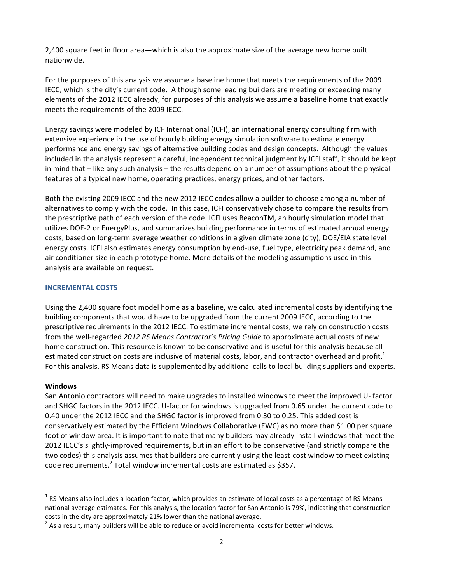2,400 square feet in floor area—which is also the approximate size of the average new home built nationwide.

For the purposes of this analysis we assume a baseline home that meets the requirements of the 2009 IECC, which is the city's current code. Although some leading builders are meeting or exceeding many elements of the 2012 IECC already, for purposes of this analysis we assume a baseline home that exactly meets the requirements of the 2009 IECC.

Energy savings were modeled by ICF International (ICFI), an international energy consulting firm with extensive experience in the use of hourly building energy simulation software to estimate energy performance and energy savings of alternative building codes and design concepts. Although the values included in the analysis represent a careful, independent technical judgment by ICFI staff, it should be kept in mind that – like any such analysis – the results depend on a number of assumptions about the physical features of a typical new home, operating practices, energy prices, and other factors.

Both the existing 2009 IECC and the new 2012 IECC codes allow a builder to choose among a number of alternatives to comply with the code. In this case, ICFI conservatively chose to compare the results from the prescriptive path of each version of the code. ICFI uses BeaconTM, an hourly simulation model that utilizes DOE-2 or EnergyPlus, and summarizes building performance in terms of estimated annual energy costs, based on long-term average weather conditions in a given climate zone (city), DOE/EIA state level energy costs. ICFI also estimates energy consumption by end-use, fuel type, electricity peak demand, and air conditioner size in each prototype home. More details of the modeling assumptions used in this analysis are available on request.

# **INCREMENTAL!COSTS**

Using the 2,400 square foot model home as a baseline, we calculated incremental costs by identifying the building components that would have to be upgraded from the current 2009 IECC, according to the prescriptive requirements in the 2012 IECC. To estimate incremental costs, we rely on construction costs from the well-regarded 2012 RS Means Contractor's Pricing Guide to approximate actual costs of new home construction. This resource is known to be conservative and is useful for this analysis because all estimated construction costs are inclusive of material costs, labor, and contractor overhead and profit.<sup>1</sup> For this analysis, RS Means data is supplemented by additional calls to local building suppliers and experts.

## **Windows**

San Antonio contractors will need to make upgrades to installed windows to meet the improved U-factor and SHGC factors in the 2012 IECC. U-factor for windows is upgraded from 0.65 under the current code to 0.40 under the 2012 IECC and the SHGC factor is improved from 0.30 to 0.25. This added cost is conservatively estimated by the Efficient Windows Collaborative (EWC) as no more than \$1.00 per square foot of window area. It is important to note that many builders may already install windows that meet the 2012 IECC's slightly-improved requirements, but in an effort to be conservative (and strictly compare the two codes) this analysis assumes that builders are currently using the least-cost window to meet existing code requirements.<sup>2</sup> Total window incremental costs are estimated as \$357.

 $\frac{1}{1}$  $<sup>1</sup>$  RS Means also includes a location factor, which provides an estimate of local costs as a percentage of RS Means</sup> national average estimates. For this analysis, the location factor for San Antonio is 79%, indicating that construction costs in the city are approximately 21% lower than the national average.

 $^2$  As a result, many builders will be able to reduce or avoid incremental costs for better windows.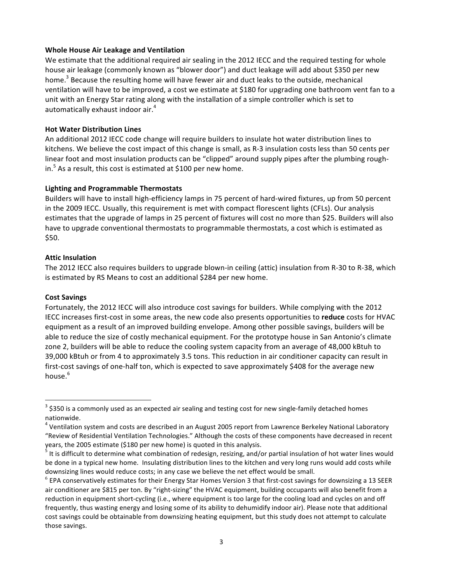# **Whole!House!Air!Leakage!and!Ventilation**

We estimate that the additional required air sealing in the 2012 IECC and the required testing for whole house air leakage (commonly known as "blower door") and duct leakage will add about \$350 per new home.<sup>3</sup> Because the resulting home will have fewer air and duct leaks to the outside, mechanical ventilation will have to be improved, a cost we estimate at \$180 for upgrading one bathroom vent fan to a unit with an Energy Star rating along with the installation of a simple controller which is set to automatically exhaust indoor air. $4$ 

# **Hot Water Distribution Lines**

An additional 2012 IECC code change will require builders to insulate hot water distribution lines to kitchens. We believe the cost impact of this change is small, as R-3 insulation costs less than 50 cents per linear foot and most insulation products can be "clipped" around supply pipes after the plumbing roughin.<sup>5</sup> As a result, this cost is estimated at \$100 per new home.

# **Lighting!and!Programmable!Thermostats**

Builders will have to install high-efficiency lamps in 75 percent of hard-wired fixtures, up from 50 percent in the 2009 IECC. Usually, this requirement is met with compact florescent lights (CFLs). Our analysis estimates that the upgrade of lamps in 25 percent of fixtures will cost no more than \$25. Builders will also have to upgrade conventional thermostats to programmable thermostats, a cost which is estimated as  $$50.$ 

# **Attic Insulation**

The 2012 IECC also requires builders to upgrade blown-in ceiling (attic) insulation from R-30 to R-38, which is estimated by RS Means to cost an additional \$284 per new home.

## **Cost!Savings**

Fortunately, the 2012 IECC will also introduce cost savings for builders. While complying with the 2012 IECC increases first-cost in some areas, the new code also presents opportunities to reduce costs for HVAC equipment as a result of an improved building envelope. Among other possible savings, builders will be able to reduce the size of costly mechanical equipment. For the prototype house in San Antonio's climate zone 2, builders will be able to reduce the cooling system capacity from an average of 48,000 kBtuh to 39,000 kBtuh or from 4 to approximately 3.5 tons. This reduction in air conditioner capacity can result in first-cost savings of one-half ton, which is expected to save approximately \$408 for the average new house.<sup>6</sup>

<sup>-&</sup>lt;br>3  $^3$  \$350 is a commonly used as an expected air sealing and testing cost for new single-family detached homes nationwide.

 $4$  Ventilation system and costs are described in an August 2005 report from Lawrence Berkeley National Laboratory "Review of Residential Ventilation Technologies." Although the costs of these components have decreased in recent years, the 2005 estimate (\$180 per new home) is quoted in this analysis.

<sup>5</sup> It is difficult to determine what combination of redesign, resizing, and/or partial insulation of hot water lines would be done in a typical new home. Insulating distribution lines to the kitchen and very long runs would add costs while downsizing lines would reduce costs; in any case we believe the net effect would be small.

 $6$  EPA conservatively estimates for their Energy Star Homes Version 3 that first-cost savings for downsizing a 13 SEER air conditioner are \$815 per ton. By "right-sizing" the HVAC equipment, building occupants will also benefit from a reduction in equipment short-cycling (i.e., where equipment is too large for the cooling load and cycles on and off frequently, thus wasting energy and losing some of its ability to dehumidify indoor air). Please note that additional cost savings could be obtainable from downsizing heating equipment, but this study does not attempt to calculate those savings.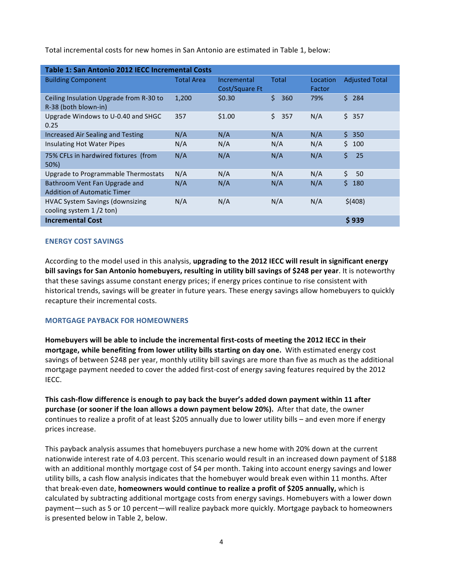Total incremental costs for new homes in San Antonio are estimated in Table 1, below:

| Table 1: San Antonio 2012 IECC Incremental Costs                    |                   |                               |           |                    |                       |  |  |  |  |
|---------------------------------------------------------------------|-------------------|-------------------------------|-----------|--------------------|-----------------------|--|--|--|--|
| <b>Building Component</b>                                           | <b>Total Area</b> | Incremental<br>Cost/Square Ft | Total     | Location<br>Factor | <b>Adjusted Total</b> |  |  |  |  |
| Ceiling Insulation Upgrade from R-30 to<br>R-38 (both blown-in)     | 1,200             | \$0.30                        | \$<br>360 | 79%                | \$284                 |  |  |  |  |
| Upgrade Windows to U-0.40 and SHGC<br>0.25                          | 357               | \$1.00                        | \$<br>357 | N/A                | \$357                 |  |  |  |  |
| <b>Increased Air Sealing and Testing</b>                            | N/A               | N/A                           | N/A       | N/A                | \$350                 |  |  |  |  |
| Insulating Hot Water Pipes                                          | N/A               | N/A                           | N/A       | N/A                | Ś.<br>100             |  |  |  |  |
| 75% CFLs in hardwired fixtures (from<br>50%)                        | N/A               | N/A                           | N/A       | N/A                | \$<br>25              |  |  |  |  |
| Upgrade to Programmable Thermostats                                 | N/A               | N/A                           | N/A       | N/A                | \$<br>50              |  |  |  |  |
| Bathroom Vent Fan Upgrade and<br>Addition of Automatic Timer        | N/A               | N/A                           | N/A       | N/A                | \$<br>180             |  |  |  |  |
| <b>HVAC System Savings (downsizing</b><br>cooling system $1/2$ ton) | N/A               | N/A                           | N/A       | N/A                | \$(408)               |  |  |  |  |
| <b>Incremental Cost</b>                                             |                   |                               |           |                    | \$939                 |  |  |  |  |

# **ENERGY COST SAVINGS**

According to the model used in this analysis, upgrading to the 2012 IECC will result in significant energy bill savings for San Antonio homebuyers, resulting in utility bill savings of \$248 per year. It is noteworthy that these savings assume constant energy prices; if energy prices continue to rise consistent with historical trends, savings will be greater in future years. These energy savings allow homebuyers to quickly recapture their incremental costs.

## **MORTGAGE PAYBACK FOR HOMEOWNERS**

Homebuyers will be able to include the incremental first-costs of meeting the 2012 IECC in their mortgage, while benefiting from lower utility bills starting on day one. With estimated energy cost savings of between \$248 per year, monthly utility bill savings are more than five as much as the additional mortgage payment needed to cover the added first-cost of energy saving features required by the 2012 IECC.

This cash-flow difference is enough to pay back the buyer's added down payment within 11 after purchase (or sooner if the loan allows a down payment below 20%). After that date, the owner continues to realize a profit of at least \$205 annually due to lower utility bills – and even more if energy prices increase.

This payback analysis assumes that homebuyers purchase a new home with 20% down at the current nationwide interest rate of 4.03 percent. This scenario would result in an increased down payment of \$188 with an additional monthly mortgage cost of \$4 per month. Taking into account energy savings and lower utility bills, a cash flow analysis indicates that the homebuyer would break even within 11 months. After that break-even date, homeowners would continue to realize a profit of \$205 annually, which is calculated by subtracting additional mortgage costs from energy savings. Homebuyers with a lower down payment-such as 5 or 10 percent-will realize payback more quickly. Mortgage payback to homeowners is presented below in Table 2, below.